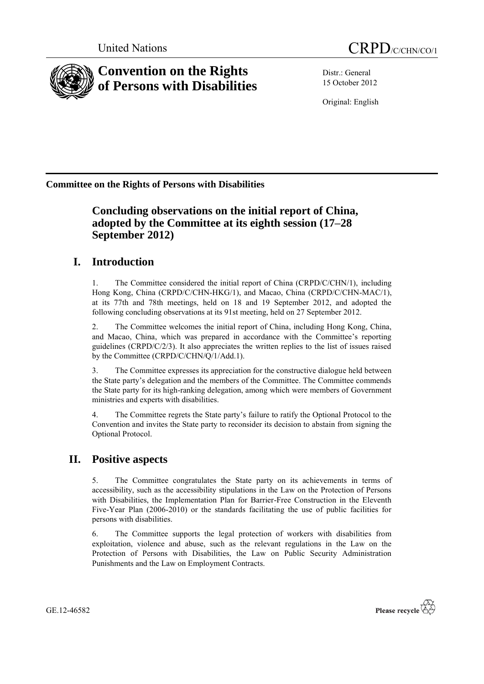

Distr.: General 15 October 2012

Original: English

**Committee on the Rights of Persons with Disabilities**

# **Concluding observations on the initial report of China, adopted by the Committee at its eighth session (17–28 September 2012)**

# **I. Introduction**

1. The Committee considered the initial report of China (CRPD/C/CHN/1), including Hong Kong, China (CRPD/C/CHN-HKG/1), and Macao, China (CRPD/C/CHN-MAC/1), at its 77th and 78th meetings, held on 18 and 19 September 2012, and adopted the following concluding observations at its 91st meeting, held on 27 September 2012.

2. The Committee welcomes the initial report of China, including Hong Kong, China, and Macao, China, which was prepared in accordance with the Committee's reporting guidelines  $(CRPD/C/2/3)$ . It also appreciates the written replies to the list of issues raised by the Committee (CRPD/C/CHN/Q/1/Add.1).

3. The Committee expresses its appreciation for the constructive dialogue held between the State party's delegation and the members of the Committee. The Committee commends the State party for its high-ranking delegation, among which were members of Government ministries and experts with disabilities.

4. The Committee regrets the State party's failure to ratify the Optional Protocol to the Convention and invites the State party to reconsider its decision to abstain from signing the Optional Protocol.

# **II. Positive aspects**

5. The Committee congratulates the State party on its achievements in terms of accessibility, such as the accessibility stipulations in the Law on the Protection of Persons with Disabilities, the Implementation Plan for Barrier-Free Construction in the Eleventh Five-Year Plan (2006-2010) or the standards facilitating the use of public facilities for persons with disabilities.

6. The Committee supports the legal protection of workers with disabilities from exploitation, violence and abuse, such as the relevant regulations in the Law on the Protection of Persons with Disabilities, the Law on Public Security Administration Punishments and the Law on Employment Contracts.

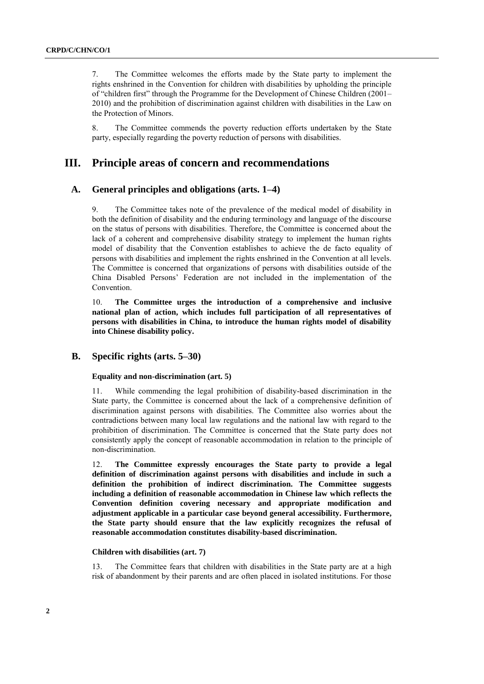7. The Committee welcomes the efforts made by the State party to implement the rights enshrined in the Convention for children with disabilities by upholding the principle of "children first" through the Programme for the Development of Chinese Children (2001– 2010) and the prohibition of discrimination against children with disabilities in the Law on the Protection of Minors.

8. The Committee commends the poverty reduction efforts undertaken by the State party, especially regarding the poverty reduction of persons with disabilities.

## **III. Principle areas of concern and recommendations**

### **A. General principles and obligations (arts. 1–4)**

9. The Committee takes note of the prevalence of the medical model of disability in both the definition of disability and the enduring terminology and language of the discourse on the status of persons with disabilities. Therefore, the Committee is concerned about the lack of a coherent and comprehensive disability strategy to implement the human rights model of disability that the Convention establishes to achieve the de facto equality of persons with disabilities and implement the rights enshrined in the Convention at all levels. The Committee is concerned that organizations of persons with disabilities outside of the China Disabled Persons' Federation are not included in the implementation of the Convention.

10. **The Committee urges the introduction of a comprehensive and inclusive national plan of action, which includes full participation of all representatives of persons with disabilities in China, to introduce the human rights model of disability into Chinese disability policy.**

### **B. Specific rights (arts. 5–30)**

#### **Equality and non-discrimination (art. 5)**

11. While commending the legal prohibition of disability-based discrimination in the State party, the Committee is concerned about the lack of a comprehensive definition of discrimination against persons with disabilities. The Committee also worries about the contradictions between many local law regulations and the national law with regard to the prohibition of discrimination. The Committee is concerned that the State party does not consistently apply the concept of reasonable accommodation in relation to the principle of non-discrimination.

12. **The Committee expressly encourages the State party to provide a legal definition of discrimination against persons with disabilities and include in such a definition the prohibition of indirect discrimination. The Committee suggests including a definition of reasonable accommodation in Chinese law which reflects the Convention definition covering necessary and appropriate modification and adjustment applicable in a particular case beyond general accessibility. Furthermore, the State party should ensure that the law explicitly recognizes the refusal of reasonable accommodation constitutes disability-based discrimination.**

### **Children with disabilities (art. 7)**

13. The Committee fears that children with disabilities in the State party are at a high risk of abandonment by their parents and are often placed in isolated institutions. For those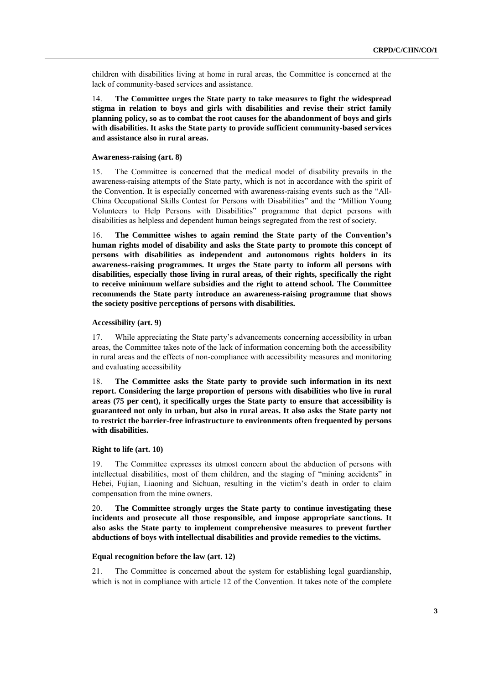children with disabilities living at home in rural areas, the Committee is concerned at the lack of community-based services and assistance.

14. **The Committee urges the State party to take measures to fight the widespread stigma in relation to boys and girls with disabilities and revise their strict family planning policy, so as to combat the root causes for the abandonment of boys and girls with disabilities. It asks the State party to provide sufficient community-based services and assistance also in rural areas.**

#### **Awareness-raising (art. 8)**

15. The Committee is concerned that the medical model of disability prevails in the awareness-raising attempts of the State party, which is not in accordance with the spirit of the Convention. It is especially concerned with awareness-raising events such as the "All-China Occupational Skills Contest for Persons with Disabilities" and the "Million Young Volunteers to Help Persons with Disabilities" programme that depict persons with disabilities as helpless and dependent human beings segregated from the rest of society.

16. **The Committee wishes to again remind the State party of the Convention's human rights model of disability and asks the State party to promote this concept of persons with disabilities as independent and autonomous rights holders in its awareness-raising programmes. It urges the State party to inform all persons with disabilities, especially those living in rural areas, of their rights, specifically the right to receive minimum welfare subsidies and the right to attend school. The Committee recommends the State party introduce an awareness-raising programme that shows the society positive perceptions of persons with disabilities.**

#### **Accessibility (art. 9)**

17. While appreciating the State party's advancements concerning accessibility in urban areas, the Committee takes note of the lack of information concerning both the accessibility in rural areas and the effects of non-compliance with accessibility measures and monitoring and evaluating accessibility

18. **The Committee asks the State party to provide such information in its next report. Considering the large proportion of persons with disabilities who live in rural areas (75 per cent), it specifically urges the State party to ensure that accessibility is guaranteed not only in urban, but also in rural areas. It also asks the State party not to restrict the barrier-free infrastructure to environments often frequented by persons with disabilities.**

### **Right to life (art. 10)**

19. The Committee expresses its utmost concern about the abduction of persons with intellectual disabilities, most of them children, and the staging of "mining accidents" in Hebei, Fujian, Liaoning and Sichuan, resulting in the victim's death in order to claim compensation from the mine owners.

20. **The Committee strongly urges the State party to continue investigating these incidents and prosecute all those responsible, and impose appropriate sanctions. It also asks the State party to implement comprehensive measures to prevent further abductions of boys with intellectual disabilities and provide remedies to the victims.** 

#### **Equal recognition before the law (art. 12)**

21. The Committee is concerned about the system for establishing legal guardianship, which is not in compliance with article 12 of the Convention. It takes note of the complete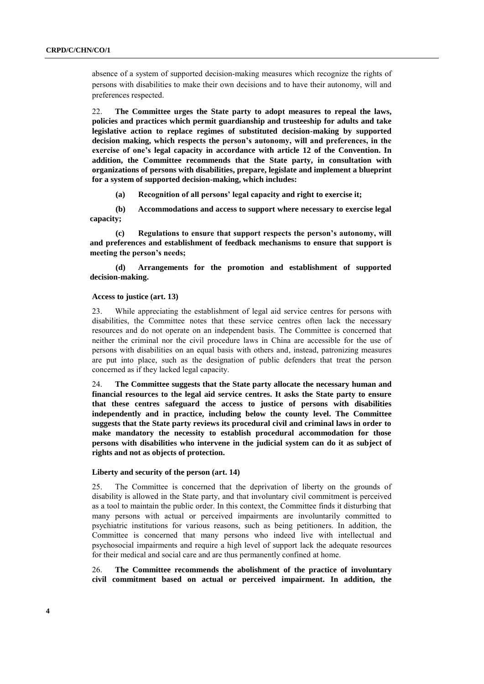absence of a system of supported decision-making measures which recognize the rights of persons with disabilities to make their own decisions and to have their autonomy, will and preferences respected.

22. **The Committee urges the State party to adopt measures to repeal the laws, policies and practices which permit guardianship and trusteeship for adults and take legislative action to replace regimes of substituted decision-making by supported decision making, which respects the person's autonomy, will and preferences, in the exercise of one's legal capacity in accordance with article 12 of the Convention. In addition, the Committee recommends that the State party, in consultation with organizations of persons with disabilities, prepare, legislate and implement a blueprint for a system of supported decision-making, which includes:**

**(a) Recognition of all persons' legal capacity and right to exercise it;**

**(b) Accommodations and access to support where necessary to exercise legal capacity;**

**(c) Regulations to ensure that support respects the person's autonomy, will and preferences and establishment of feedback mechanisms to ensure that support is meeting the person's needs;**

**(d) Arrangements for the promotion and establishment of supported decision-making.**

#### **Access to justice (art. 13)**

23. While appreciating the establishment of legal aid service centres for persons with disabilities, the Committee notes that these service centres often lack the necessary resources and do not operate on an independent basis. The Committee is concerned that neither the criminal nor the civil procedure laws in China are accessible for the use of persons with disabilities on an equal basis with others and, instead, patronizing measures are put into place, such as the designation of public defenders that treat the person concerned as if they lacked legal capacity.

24. **The Committee suggests that the State party allocate the necessary human and financial resources to the legal aid service centres. It asks the State party to ensure that these centres safeguard the access to justice of persons with disabilities independently and in practice, including below the county level. The Committee suggests that the State party reviews its procedural civil and criminal laws in order to make mandatory the necessity to establish procedural accommodation for those persons with disabilities who intervene in the judicial system can do it as subject of rights and not as objects of protection.**

#### **Liberty and security of the person (art. 14)**

25. The Committee is concerned that the deprivation of liberty on the grounds of disability is allowed in the State party, and that involuntary civil commitment is perceived as a tool to maintain the public order. In this context, the Committee finds it disturbing that many persons with actual or perceived impairments are involuntarily committed to psychiatric institutions for various reasons, such as being petitioners. In addition, the Committee is concerned that many persons who indeed live with intellectual and psychosocial impairments and require a high level of support lack the adequate resources for their medical and social care and are thus permanently confined at home.

26. **The Committee recommends the abolishment of the practice of involuntary civil commitment based on actual or perceived impairment. In addition, the**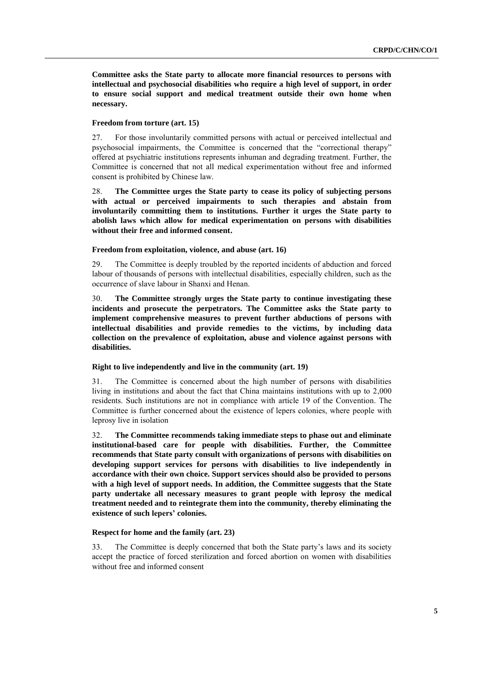**Committee asks the State party to allocate more financial resources to persons with intellectual and psychosocial disabilities who require a high level of support, in order to ensure social support and medical treatment outside their own home when necessary.** 

#### **Freedom from torture (art. 15)**

27. For those involuntarily committed persons with actual or perceived intellectual and psychosocial impairments, the Committee is concerned that the "correctional therapy" offered at psychiatric institutions represents inhuman and degrading treatment. Further, the Committee is concerned that not all medical experimentation without free and informed consent is prohibited by Chinese law.

28. **The Committee urges the State party to cease its policy of subjecting persons with actual or perceived impairments to such therapies and abstain from involuntarily committing them to institutions. Further it urges the State party to abolish laws which allow for medical experimentation on persons with disabilities without their free and informed consent.**

### **Freedom from exploitation, violence, and abuse (art. 16)**

29. The Committee is deeply troubled by the reported incidents of abduction and forced labour of thousands of persons with intellectual disabilities, especially children, such as the occurrence of slave labour in Shanxi and Henan.

30. **The Committee strongly urges the State party to continue investigating these incidents and prosecute the perpetrators. The Committee asks the State party to implement comprehensive measures to prevent further abductions of persons with intellectual disabilities and provide remedies to the victims, by including data collection on the prevalence of exploitation, abuse and violence against persons with disabilities.** 

#### **Right to live independently and live in the community (art. 19)**

31. The Committee is concerned about the high number of persons with disabilities living in institutions and about the fact that China maintains institutions with up to 2,000 residents. Such institutions are not in compliance with article 19 of the Convention. The Committee is further concerned about the existence of lepers colonies, where people with leprosy live in isolation

32. **The Committee recommends taking immediate steps to phase out and eliminate institutional-based care for people with disabilities. Further, the Committee recommends that State party consult with organizations of persons with disabilities on developing support services for persons with disabilities to live independently in accordance with their own choice. Support services should also be provided to persons with a high level of support needs. In addition, the Committee suggests that the State party undertake all necessary measures to grant people with leprosy the medical treatment needed and to reintegrate them into the community, thereby eliminating the existence of such lepers' colonies.** 

#### **Respect for home and the family (art. 23)**

33. The Committee is deeply concerned that both the State party's laws and its society accept the practice of forced sterilization and forced abortion on women with disabilities without free and informed consent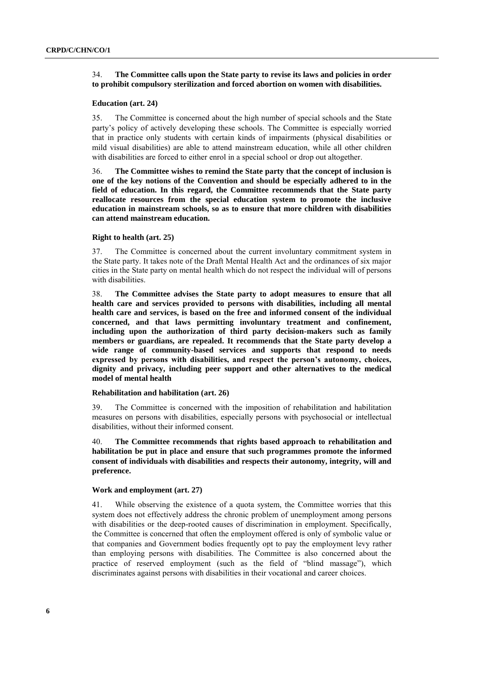### 34. **The Committee calls upon the State party to revise its laws and policies in order to prohibit compulsory sterilization and forced abortion on women with disabilities.**

#### **Education (art. 24)**

35. The Committee is concerned about the high number of special schools and the State party's policy of actively developing these schools. The Committee is especially worried that in practice only students with certain kinds of impairments (physical disabilities or mild visual disabilities) are able to attend mainstream education, while all other children with disabilities are forced to either enrol in a special school or drop out altogether.

36. **The Committee wishes to remind the State party that the concept of inclusion is one of the key notions of the Convention and should be especially adhered to in the field of education. In this regard, the Committee recommends that the State party reallocate resources from the special education system to promote the inclusive education in mainstream schools, so as to ensure that more children with disabilities can attend mainstream education.** 

#### **Right to health (art. 25)**

37. The Committee is concerned about the current involuntary commitment system in the State party. It takes note of the Draft Mental Health Act and the ordinances of six major cities in the State party on mental health which do not respect the individual will of persons with disabilities.

38. **The Committee advises the State party to adopt measures to ensure that all health care and services provided to persons with disabilities, including all mental health care and services, is based on the free and informed consent of the individual concerned, and that laws permitting involuntary treatment and confinement, including upon the authorization of third party decision-makers such as family members or guardians, are repealed. It recommends that the State party develop a wide range of community-based services and supports that respond to needs expressed by persons with disabilities, and respect the person's autonomy, choices, dignity and privacy, including peer support and other alternatives to the medical model of mental health**

#### **Rehabilitation and habilitation (art. 26)**

39. The Committee is concerned with the imposition of rehabilitation and habilitation measures on persons with disabilities, especially persons with psychosocial or intellectual disabilities, without their informed consent.

40. **The Committee recommends that rights based approach to rehabilitation and habilitation be put in place and ensure that such programmes promote the informed consent of individuals with disabilities and respects their autonomy, integrity, will and preference.**

#### **Work and employment (art. 27)**

41. While observing the existence of a quota system, the Committee worries that this system does not effectively address the chronic problem of unemployment among persons with disabilities or the deep-rooted causes of discrimination in employment. Specifically, the Committee is concerned that often the employment offered is only of symbolic value or that companies and Government bodies frequently opt to pay the employment levy rather than employing persons with disabilities. The Committee is also concerned about the practice of reserved employment (such as the field of "blind massage"), which discriminates against persons with disabilities in their vocational and career choices.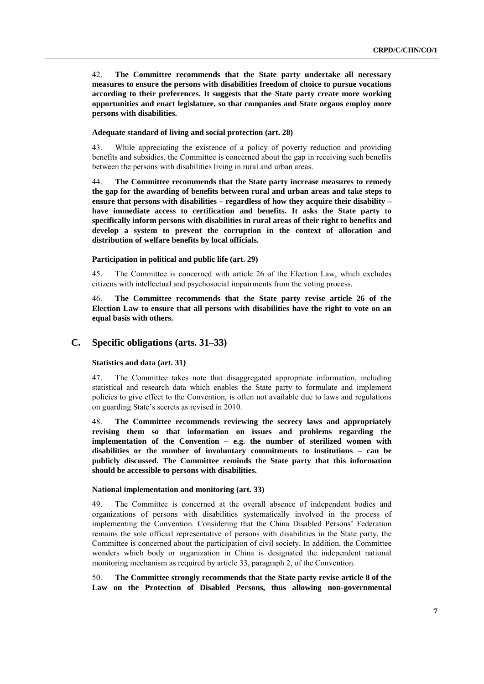42. **The Committee recommends that the State party undertake all necessary measures to ensure the persons with disabilities freedom of choice to pursue vocations according to their preferences. It suggests that the State party create more working opportunities and enact legislature, so that companies and State organs employ more persons with disabilities.**

### **Adequate standard of living and social protection (art. 28)**

43. While appreciating the existence of a policy of poverty reduction and providing benefits and subsidies, the Committee is concerned about the gap in receiving such benefits between the persons with disabilities living in rural and urban areas.

44. **The Committee recommends that the State party increase measures to remedy the gap for the awarding of benefits between rural and urban areas and take steps to ensure that persons with disabilities – regardless of how they acquire their disability – have immediate access to certification and benefits. It asks the State party to specifically inform persons with disabilities in rural areas of their right to benefits and develop a system to prevent the corruption in the context of allocation and distribution of welfare benefits by local officials.**

### **Participation in political and public life (art. 29)**

45. The Committee is concerned with article 26 of the Election Law, which excludes citizens with intellectual and psychosocial impairments from the voting process.

46. **The Committee recommends that the State party revise article 26 of the Election Law to ensure that all persons with disabilities have the right to vote on an equal basis with others.** 

### **C. Specific obligations (arts. 31–33)**

#### **Statistics and data (art. 31)**

47. The Committee takes note that disaggregated appropriate information, including statistical and research data which enables the State party to formulate and implement policies to give effect to the Convention, is often not available due to laws and regulations on guarding State's secrets as revised in 2010.

48. **The Committee recommends reviewing the secrecy laws and appropriately revising them so that information on issues and problems regarding the implementation of the Convention – e.g. the number of sterilized women with disabilities or the number of involuntary commitments to institutions – can be publicly discussed. The Committee reminds the State party that this information should be accessible to persons with disabilities.**

#### **National implementation and monitoring (art. 33)**

49. The Committee is concerned at the overall absence of independent bodies and organizations of persons with disabilities systematically involved in the process of implementing the Convention. Considering that the China Disabled Persons' Federation remains the sole official representative of persons with disabilities in the State party, the Committee is concerned about the participation of civil society. In addition, the Committee wonders which body or organization in China is designated the independent national monitoring mechanism as required by article 33, paragraph 2, of the Convention.

50. **The Committee strongly recommends that the State party revise article 8 of the Law on the Protection of Disabled Persons, thus allowing non-governmental**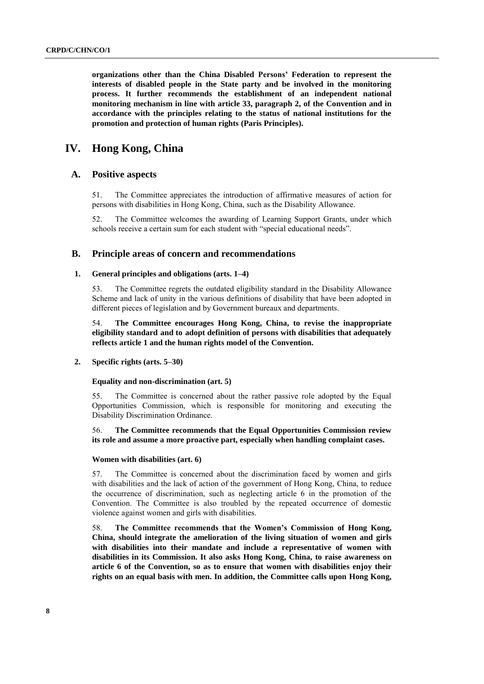**organizations other than the China Disabled Persons' Federation to represent the interests of disabled people in the State party and be involved in the monitoring process. It further recommends the establishment of an independent national monitoring mechanism in line with article 33, paragraph 2, of the Convention and in accordance with the principles relating to the status of national institutions for the promotion and protection of human rights (Paris Principles).**

## **IV. Hong Kong, China**

### **A. Positive aspects**

51. The Committee appreciates the introduction of affirmative measures of action for persons with disabilities in Hong Kong, China, such as the Disability Allowance.

52. The Committee welcomes the awarding of Learning Support Grants, under which schools receive a certain sum for each student with "special educational needs".

### **B. Principle areas of concern and recommendations**

### **1. General principles and obligations (arts. 1–4)**

53. The Committee regrets the outdated eligibility standard in the Disability Allowance Scheme and lack of unity in the various definitions of disability that have been adopted in different pieces of legislation and by Government bureaux and departments.

54. **The Committee encourages Hong Kong, China, to revise the inappropriate eligibility standard and to adopt definition of persons with disabilities that adequately reflects article 1 and the human rights model of the Convention.**

#### **2. Specific rights (arts. 5–30)**

#### **Equality and non-discrimination (art. 5)**

55. The Committee is concerned about the rather passive role adopted by the Equal Opportunities Commission, which is responsible for monitoring and executing the Disability Discrimination Ordinance.

### 56. **The Committee recommends that the Equal Opportunities Commission review its role and assume a more proactive part, especially when handling complaint cases.**

#### **Women with disabilities (art. 6)**

57. The Committee is concerned about the discrimination faced by women and girls with disabilities and the lack of action of the government of Hong Kong, China, to reduce the occurrence of discrimination, such as neglecting article 6 in the promotion of the Convention. The Committee is also troubled by the repeated occurrence of domestic violence against women and girls with disabilities.

58. **The Committee recommends that the Women's Commission of Hong Kong, China, should integrate the amelioration of the living situation of women and girls with disabilities into their mandate and include a representative of women with disabilities in its Commission. It also asks Hong Kong, China, to raise awareness on article 6 of the Convention, so as to ensure that women with disabilities enjoy their rights on an equal basis with men. In addition, the Committee calls upon Hong Kong,**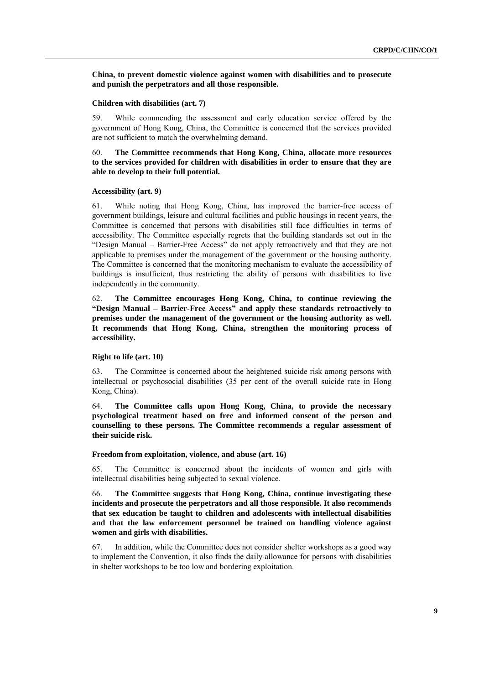**China, to prevent domestic violence against women with disabilities and to prosecute and punish the perpetrators and all those responsible.**

#### **Children with disabilities (art. 7)**

59. While commending the assessment and early education service offered by the government of Hong Kong, China, the Committee is concerned that the services provided are not sufficient to match the overwhelming demand.

60. **The Committee recommends that Hong Kong, China, allocate more resources to the services provided for children with disabilities in order to ensure that they are able to develop to their full potential.** 

#### **Accessibility (art. 9)**

61. While noting that Hong Kong, China, has improved the barrier-free access of government buildings, leisure and cultural facilities and public housings in recent years, the Committee is concerned that persons with disabilities still face difficulties in terms of accessibility. The Committee especially regrets that the building standards set out in the "Design Manual – Barrier-Free Access" do not apply retroactively and that they are not applicable to premises under the management of the government or the housing authority. The Committee is concerned that the monitoring mechanism to evaluate the accessibility of buildings is insufficient, thus restricting the ability of persons with disabilities to live independently in the community.

62. **The Committee encourages Hong Kong, China, to continue reviewing the "Design Manual – Barrier-Free Access" and apply these standards retroactively to premises under the management of the government or the housing authority as well. It recommends that Hong Kong, China, strengthen the monitoring process of accessibility.** 

#### **Right to life (art. 10)**

63. The Committee is concerned about the heightened suicide risk among persons with intellectual or psychosocial disabilities (35 per cent of the overall suicide rate in Hong Kong, China).

64. **The Committee calls upon Hong Kong, China, to provide the necessary psychological treatment based on free and informed consent of the person and counselling to these persons. The Committee recommends a regular assessment of their suicide risk.** 

#### **Freedom from exploitation, violence, and abuse (art. 16)**

65. The Committee is concerned about the incidents of women and girls with intellectual disabilities being subjected to sexual violence.

66. **The Committee suggests that Hong Kong, China, continue investigating these incidents and prosecute the perpetrators and all those responsible. It also recommends that sex education be taught to children and adolescents with intellectual disabilities and that the law enforcement personnel be trained on handling violence against women and girls with disabilities.** 

67. In addition, while the Committee does not consider shelter workshops as a good way to implement the Convention, it also finds the daily allowance for persons with disabilities in shelter workshops to be too low and bordering exploitation.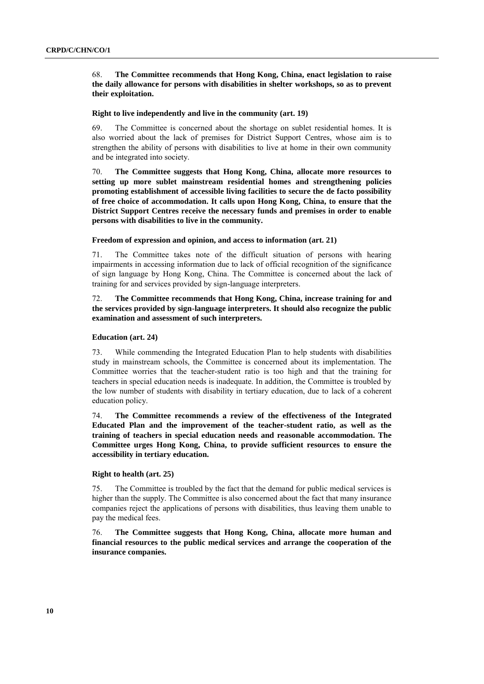68. **The Committee recommends that Hong Kong, China, enact legislation to raise the daily allowance for persons with disabilities in shelter workshops, so as to prevent their exploitation.** 

#### **Right to live independently and live in the community (art. 19)**

69. The Committee is concerned about the shortage on sublet residential homes. It is also worried about the lack of premises for District Support Centres, whose aim is to strengthen the ability of persons with disabilities to live at home in their own community and be integrated into society.

70. **The Committee suggests that Hong Kong, China, allocate more resources to setting up more sublet mainstream residential homes and strengthening policies promoting establishment of accessible living facilities to secure the de facto possibility of free choice of accommodation. It calls upon Hong Kong, China, to ensure that the District Support Centres receive the necessary funds and premises in order to enable persons with disabilities to live in the community.** 

#### **Freedom of expression and opinion, and access to information (art. 21)**

71. The Committee takes note of the difficult situation of persons with hearing impairments in accessing information due to lack of official recognition of the significance of sign language by Hong Kong, China. The Committee is concerned about the lack of training for and services provided by sign-language interpreters.

### 72. **The Committee recommends that Hong Kong, China, increase training for and the services provided by sign-language interpreters. It should also recognize the public examination and assessment of such interpreters.**

#### **Education (art. 24)**

73. While commending the Integrated Education Plan to help students with disabilities study in mainstream schools, the Committee is concerned about its implementation. The Committee worries that the teacher-student ratio is too high and that the training for teachers in special education needs is inadequate. In addition, the Committee is troubled by the low number of students with disability in tertiary education, due to lack of a coherent education policy.

74. **The Committee recommends a review of the effectiveness of the Integrated Educated Plan and the improvement of the teacher-student ratio, as well as the training of teachers in special education needs and reasonable accommodation. The Committee urges Hong Kong, China, to provide sufficient resources to ensure the accessibility in tertiary education.** 

### **Right to health (art. 25)**

75. The Committee is troubled by the fact that the demand for public medical services is higher than the supply. The Committee is also concerned about the fact that many insurance companies reject the applications of persons with disabilities, thus leaving them unable to pay the medical fees.

76. **The Committee suggests that Hong Kong, China, allocate more human and financial resources to the public medical services and arrange the cooperation of the insurance companies.**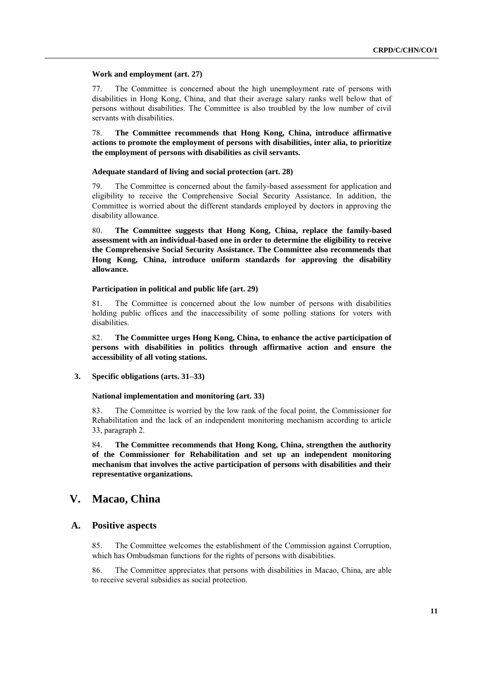#### **Work and employment (art. 27)**

77. The Committee is concerned about the high unemployment rate of persons with disabilities in Hong Kong, China, and that their average salary ranks well below that of persons without disabilities. The Committee is also troubled by the low number of civil servants with disabilities.

78. **The Committee recommends that Hong Kong, China, introduce affirmative actions to promote the employment of persons with disabilities, inter alia, to prioritize the employment of persons with disabilities as civil servants.** 

#### **Adequate standard of living and social protection (art. 28)**

79. The Committee is concerned about the family-based assessment for application and eligibility to receive the Comprehensive Social Security Assistance. In addition, the Committee is worried about the different standards employed by doctors in approving the disability allowance.

80. **The Committee suggests that Hong Kong, China, replace the family-based assessment with an individual-based one in order to determine the eligibility to receive the Comprehensive Social Security Assistance. The Committee also recommends that Hong Kong, China, introduce uniform standards for approving the disability allowance.**

#### **Participation in political and public life (art. 29)**

81. The Committee is concerned about the low number of persons with disabilities holding public offices and the inaccessibility of some polling stations for voters with disabilities.

82. **The Committee urges Hong Kong, China, to enhance the active participation of persons with disabilities in politics through affirmative action and ensure the accessibility of all voting stations.** 

**3. Specific obligations (arts. 31–33)**

#### **National implementation and monitoring (art. 33)**

83. The Committee is worried by the low rank of the focal point, the Commissioner for Rehabilitation and the lack of an independent monitoring mechanism according to article 33, paragraph 2.

84. **The Committee recommends that Hong Kong, China, strengthen the authority of the Commissioner for Rehabilitation and set up an independent monitoring mechanism that involves the active participation of persons with disabilities and their representative organizations.** 

### **V. Macao, China**

### **A. Positive aspects**

85. The Committee welcomes the establishment of the Commission against Corruption, which has Ombudsman functions for the rights of persons with disabilities.

86. The Committee appreciates that persons with disabilities in Macao, China, are able to receive several subsidies as social protection.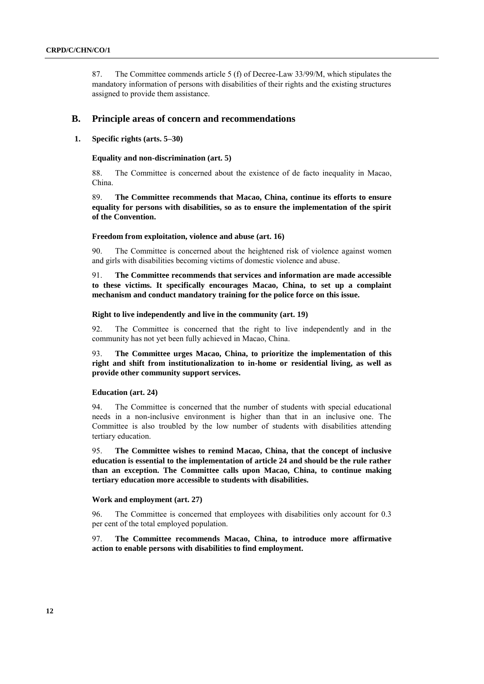87. The Committee commends article 5 (f) of Decree-Law 33/99/M, which stipulates the mandatory information of persons with disabilities of their rights and the existing structures assigned to provide them assistance.

#### **B. Principle areas of concern and recommendations**

### **1. Specific rights (arts. 5–30)**

#### **Equality and non-discrimination (art. 5)**

88. The Committee is concerned about the existence of de facto inequality in Macao, China.

89. **The Committee recommends that Macao, China, continue its efforts to ensure equality for persons with disabilities, so as to ensure the implementation of the spirit of the Convention.**

#### **Freedom from exploitation, violence and abuse (art. 16)**

90. The Committee is concerned about the heightened risk of violence against women and girls with disabilities becoming victims of domestic violence and abuse.

91. **The Committee recommends that services and information are made accessible to these victims. It specifically encourages Macao, China, to set up a complaint mechanism and conduct mandatory training for the police force on this issue.** 

#### **Right to live independently and live in the community (art. 19)**

92. The Committee is concerned that the right to live independently and in the community has not yet been fully achieved in Macao, China.

93. **The Committee urges Macao, China, to prioritize the implementation of this right and shift from institutionalization to in-home or residential living, as well as provide other community support services.**

#### **Education (art. 24)**

94. The Committee is concerned that the number of students with special educational needs in a non-inclusive environment is higher than that in an inclusive one. The Committee is also troubled by the low number of students with disabilities attending tertiary education.

95. **The Committee wishes to remind Macao, China, that the concept of inclusive education is essential to the implementation of article 24 and should be the rule rather than an exception. The Committee calls upon Macao, China, to continue making tertiary education more accessible to students with disabilities.**

#### **Work and employment (art. 27)**

96. The Committee is concerned that employees with disabilities only account for 0.3 per cent of the total employed population.

97. **The Committee recommends Macao, China, to introduce more affirmative action to enable persons with disabilities to find employment.**